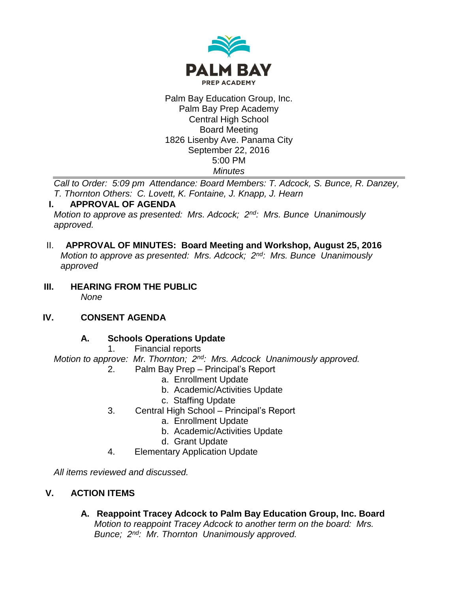

#### Palm Bay Education Group, Inc. Palm Bay Prep Academy Central High School Board Meeting 1826 Lisenby Ave. Panama City September 22, 2016 5:00 PM *Minutes*

*Call to Order: 5:09 pm Attendance: Board Members: T. Adcock, S. Bunce, R. Danzey, T. Thornton Others: C. Lovett, K. Fontaine, J. Knapp, J. Hearn*

# **I. APPROVAL OF AGENDA**

*Motion to approve as presented: Mrs. Adcock; 2nd: Mrs. Bunce Unanimously approved.*

### II. **APPROVAL OF MINUTES: Board Meeting and Workshop, August 25, 2016** *Motion to approve as presented: Mrs. Adcock; 2nd: Mrs. Bunce Unanimously*

**III. HEARING FROM THE PUBLIC** *None*

# **IV. CONSENT AGENDA**

*approved*

# **A. Schools Operations Update**

1. Financial reports

*Motion to approve: Mr. Thornton; 2nd: Mrs. Adcock Unanimously approved.*

- 2. Palm Bay Prep Principal's Report
	- a. Enrollment Update
	- b. Academic/Activities Update
	- c. Staffing Update
- 3. Central High School Principal's Report
	- a. Enrollment Update
	- b. Academic/Activities Update
	- d. Grant Update
- 4. Elementary Application Update

*All items reviewed and discussed.*

# **V. ACTION ITEMS**

**A. Reappoint Tracey Adcock to Palm Bay Education Group, Inc. Board** *Motion to reappoint Tracey Adcock to another term on the board: Mrs. Bunce; 2nd: Mr. Thornton Unanimously approved.*